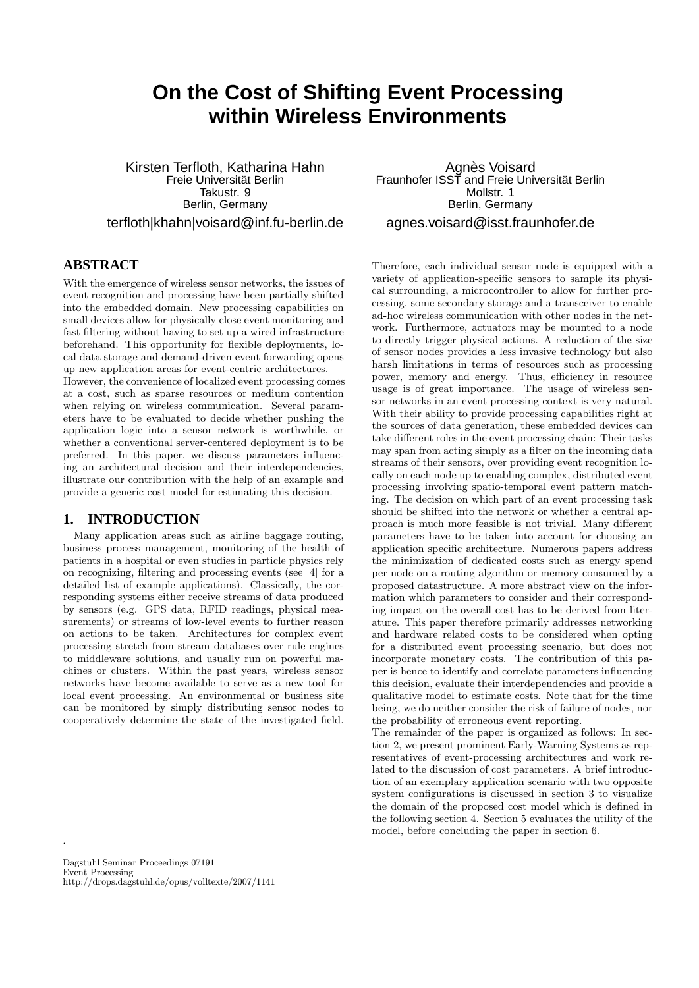# **On the Cost of Shifting Event Processing within Wireless Environments**

Kirsten Terfloth, Katharina Hahn Freie Universitat Berlin ¨ Takustr. 9 Berlin, Germany terfloth|khahn|voisard@inf.fu-berlin.de

# **ABSTRACT**

With the emergence of wireless sensor networks, the issues of event recognition and processing have been partially shifted into the embedded domain. New processing capabilities on small devices allow for physically close event monitoring and fast filtering without having to set up a wired infrastructure beforehand. This opportunity for flexible deployments, local data storage and demand-driven event forwarding opens up new application areas for event-centric architectures.

However, the convenience of localized event processing comes at a cost, such as sparse resources or medium contention when relying on wireless communication. Several parameters have to be evaluated to decide whether pushing the application logic into a sensor network is worthwhile, or whether a conventional server-centered deployment is to be preferred. In this paper, we discuss parameters influencing an architectural decision and their interdependencies, illustrate our contribution with the help of an example and provide a generic cost model for estimating this decision.

## **1. INTRODUCTION**

Many application areas such as airline baggage routing, business process management, monitoring of the health of patients in a hospital or even studies in particle physics rely on recognizing, filtering and processing events (see [4] for a detailed list of example applications). Classically, the corresponding systems either receive streams of data produced by sensors (e.g. GPS data, RFID readings, physical measurements) or streams of low-level events to further reason on actions to be taken. Architectures for complex event processing stretch from stream databases over rule engines to middleware solutions, and usually run on powerful machines or clusters. Within the past years, wireless sensor networks have become available to serve as a new tool for local event processing. An environmental or business site can be monitored by simply distributing sensor nodes to cooperatively determine the state of the investigated field.

Agnès Voisard Fraunhofer ISST and Freie Universitat Berlin ¨ Mollstr<sub>1</sub> Berlin, Germany agnes.voisard@isst.fraunhofer.de

Therefore, each individual sensor node is equipped with a variety of application-specific sensors to sample its physical surrounding, a microcontroller to allow for further processing, some secondary storage and a transceiver to enable ad-hoc wireless communication with other nodes in the network. Furthermore, actuators may be mounted to a node to directly trigger physical actions. A reduction of the size of sensor nodes provides a less invasive technology but also harsh limitations in terms of resources such as processing power, memory and energy. Thus, efficiency in resource usage is of great importance. The usage of wireless sensor networks in an event processing context is very natural. With their ability to provide processing capabilities right at the sources of data generation, these embedded devices can take different roles in the event processing chain: Their tasks may span from acting simply as a filter on the incoming data streams of their sensors, over providing event recognition locally on each node up to enabling complex, distributed event processing involving spatio-temporal event pattern matching. The decision on which part of an event processing task should be shifted into the network or whether a central approach is much more feasible is not trivial. Many different parameters have to be taken into account for choosing an application specific architecture. Numerous papers address the minimization of dedicated costs such as energy spend per node on a routing algorithm or memory consumed by a proposed datastructure. A more abstract view on the information which parameters to consider and their corresponding impact on the overall cost has to be derived from literature. This paper therefore primarily addresses networking and hardware related costs to be considered when opting for a distributed event processing scenario, but does not incorporate monetary costs. The contribution of this paper is hence to identify and correlate parameters influencing this decision, evaluate their interdependencies and provide a qualitative model to estimate costs. Note that for the time being, we do neither consider the risk of failure of nodes, nor the probability of erroneous event reporting.

The remainder of the paper is organized as follows: In section 2, we present prominent Early-Warning Systems as representatives of event-processing architectures and work related to the discussion of cost parameters. A brief introduction of an exemplary application scenario with two opposite system configurations is discussed in section 3 to visualize the domain of the proposed cost model which is defined in the following section 4. Section 5 evaluates the utility of the model, before concluding the paper in section 6.

.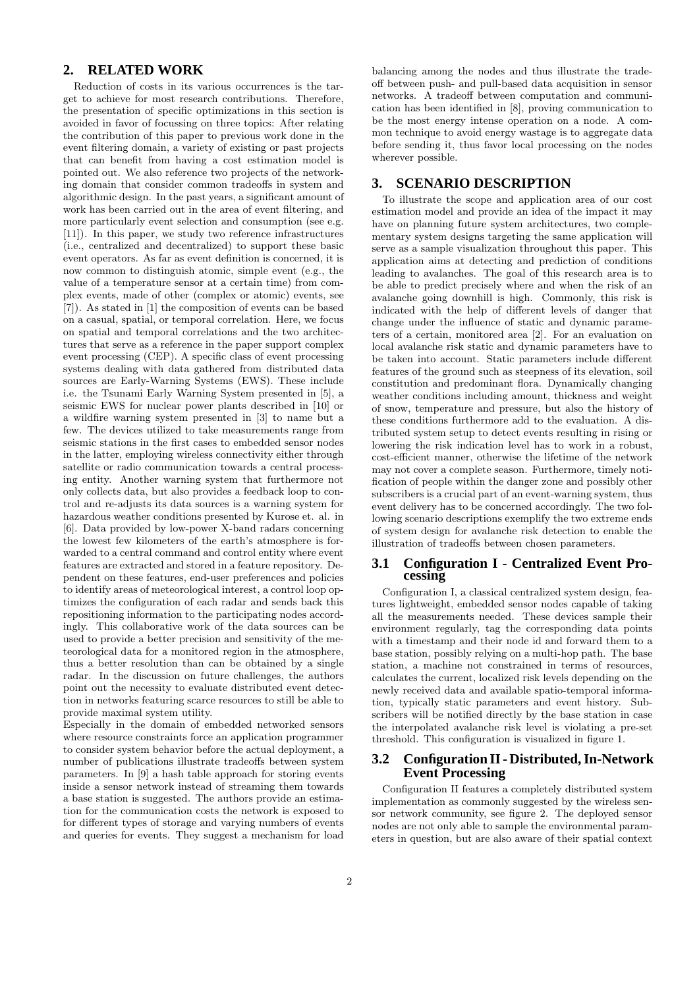# **2. RELATED WORK**

Reduction of costs in its various occurrences is the target to achieve for most research contributions. Therefore, the presentation of specific optimizations in this section is avoided in favor of focussing on three topics: After relating the contribution of this paper to previous work done in the event filtering domain, a variety of existing or past projects that can benefit from having a cost estimation model is pointed out. We also reference two projects of the networking domain that consider common tradeoffs in system and algorithmic design. In the past years, a significant amount of work has been carried out in the area of event filtering, and more particularly event selection and consumption (see e.g. [11]). In this paper, we study two reference infrastructures (i.e., centralized and decentralized) to support these basic event operators. As far as event definition is concerned, it is now common to distinguish atomic, simple event (e.g., the value of a temperature sensor at a certain time) from complex events, made of other (complex or atomic) events, see [7]). As stated in [1] the composition of events can be based on a casual, spatial, or temporal correlation. Here, we focus on spatial and temporal correlations and the two architectures that serve as a reference in the paper support complex event processing (CEP). A specific class of event processing systems dealing with data gathered from distributed data sources are Early-Warning Systems (EWS). These include i.e. the Tsunami Early Warning System presented in [5], a seismic EWS for nuclear power plants described in [10] or a wildfire warning system presented in [3] to name but a few. The devices utilized to take measurements range from seismic stations in the first cases to embedded sensor nodes in the latter, employing wireless connectivity either through satellite or radio communication towards a central processing entity. Another warning system that furthermore not only collects data, but also provides a feedback loop to control and re-adjusts its data sources is a warning system for hazardous weather conditions presented by Kurose et. al. in [6]. Data provided by low-power X-band radars concerning the lowest few kilometers of the earth's atmosphere is forwarded to a central command and control entity where event features are extracted and stored in a feature repository. Dependent on these features, end-user preferences and policies to identify areas of meteorological interest, a control loop optimizes the configuration of each radar and sends back this repositioning information to the participating nodes accordingly. This collaborative work of the data sources can be used to provide a better precision and sensitivity of the meteorological data for a monitored region in the atmosphere, thus a better resolution than can be obtained by a single radar. In the discussion on future challenges, the authors point out the necessity to evaluate distributed event detection in networks featuring scarce resources to still be able to provide maximal system utility.

Especially in the domain of embedded networked sensors where resource constraints force an application programmer to consider system behavior before the actual deployment, a number of publications illustrate tradeoffs between system parameters. In [9] a hash table approach for storing events inside a sensor network instead of streaming them towards a base station is suggested. The authors provide an estimation for the communication costs the network is exposed to for different types of storage and varying numbers of events and queries for events. They suggest a mechanism for load

balancing among the nodes and thus illustrate the tradeoff between push- and pull-based data acquisition in sensor networks. A tradeoff between computation and communication has been identified in [8], proving communication to be the most energy intense operation on a node. A common technique to avoid energy wastage is to aggregate data before sending it, thus favor local processing on the nodes wherever possible.

## **3. SCENARIO DESCRIPTION**

To illustrate the scope and application area of our cost estimation model and provide an idea of the impact it may have on planning future system architectures, two complementary system designs targeting the same application will serve as a sample visualization throughout this paper. This application aims at detecting and prediction of conditions leading to avalanches. The goal of this research area is to be able to predict precisely where and when the risk of an avalanche going downhill is high. Commonly, this risk is indicated with the help of different levels of danger that change under the influence of static and dynamic parameters of a certain, monitored area [2]. For an evaluation on local avalanche risk static and dynamic parameters have to be taken into account. Static parameters include different features of the ground such as steepness of its elevation, soil constitution and predominant flora. Dynamically changing weather conditions including amount, thickness and weight of snow, temperature and pressure, but also the history of these conditions furthermore add to the evaluation. A distributed system setup to detect events resulting in rising or lowering the risk indication level has to work in a robust, cost-efficient manner, otherwise the lifetime of the network may not cover a complete season. Furthermore, timely notification of people within the danger zone and possibly other subscribers is a crucial part of an event-warning system, thus event delivery has to be concerned accordingly. The two following scenario descriptions exemplify the two extreme ends of system design for avalanche risk detection to enable the illustration of tradeoffs between chosen parameters.

## **3.1 Configuration I - Centralized Event Processing**

Configuration I, a classical centralized system design, features lightweight, embedded sensor nodes capable of taking all the measurements needed. These devices sample their environment regularly, tag the corresponding data points with a timestamp and their node id and forward them to a base station, possibly relying on a multi-hop path. The base station, a machine not constrained in terms of resources, calculates the current, localized risk levels depending on the newly received data and available spatio-temporal information, typically static parameters and event history. Subscribers will be notified directly by the base station in case the interpolated avalanche risk level is violating a pre-set threshold. This configuration is visualized in figure 1.

# **3.2 Configuration II - Distributed, In-Network Event Processing**

Configuration II features a completely distributed system implementation as commonly suggested by the wireless sensor network community, see figure 2. The deployed sensor nodes are not only able to sample the environmental parameters in question, but are also aware of their spatial context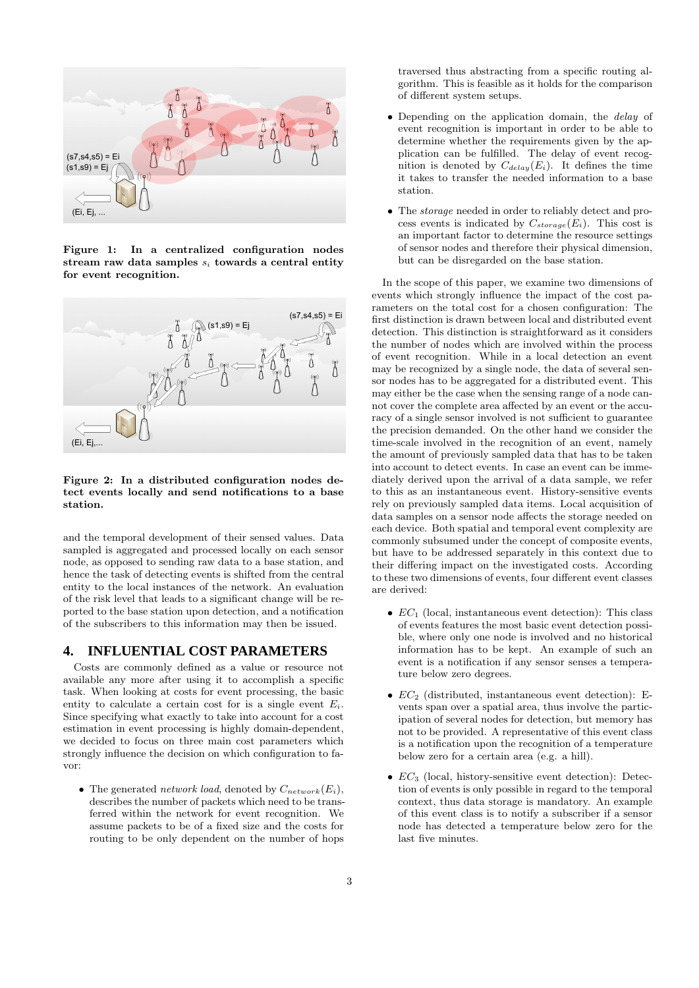

Figure 1: In a centralized configuration nodes stream raw data samples  $s_i$  towards a central entity for event recognition.



Figure 2: In a distributed configuration nodes detect events locally and send notifications to a base station.

and the temporal development of their sensed values. Data sampled is aggregated and processed locally on each sensor node, as opposed to sending raw data to a base station, and hence the task of detecting events is shifted from the central entity to the local instances of the network. An evaluation of the risk level that leads to a significant change will be reported to the base station upon detection, and a notification of the subscribers to this information may then be issued.

## **4. INFLUENTIAL COST PARAMETERS**

Costs are commonly defined as a value or resource not available any more after using it to accomplish a specific task. When looking at costs for event processing, the basic entity to calculate a certain cost for is a single event  $E_i$ . Since specifying what exactly to take into account for a cost estimation in event processing is highly domain-dependent, we decided to focus on three main cost parameters which strongly influence the decision on which configuration to favor:

• The generated network load, denoted by  $C_{network}(E_i)$ , describes the number of packets which need to be transferred within the network for event recognition. We assume packets to be of a fixed size and the costs for routing to be only dependent on the number of hops

traversed thus abstracting from a specific routing algorithm. This is feasible as it holds for the comparison of different system setups.

- Depending on the application domain, the delay of event recognition is important in order to be able to determine whether the requirements given by the application can be fulfilled. The delay of event recognition is denoted by  $C_{delay}(E_i)$ . It defines the time it takes to transfer the needed information to a base station.
- The storage needed in order to reliably detect and process events is indicated by  $C_{storage}(E_i)$ . This cost is an important factor to determine the resource settings of sensor nodes and therefore their physical dimension, but can be disregarded on the base station.

In the scope of this paper, we examine two dimensions of events which strongly influence the impact of the cost parameters on the total cost for a chosen configuration: The first distinction is drawn between local and distributed event detection. This distinction is straightforward as it considers the number of nodes which are involved within the process of event recognition. While in a local detection an event may be recognized by a single node, the data of several sensor nodes has to be aggregated for a distributed event. This may either be the case when the sensing range of a node cannot cover the complete area affected by an event or the accuracy of a single sensor involved is not sufficient to guarantee the precision demanded. On the other hand we consider the time-scale involved in the recognition of an event, namely the amount of previously sampled data that has to be taken into account to detect events. In case an event can be immediately derived upon the arrival of a data sample, we refer to this as an instantaneous event. History-sensitive events rely on previously sampled data items. Local acquisition of data samples on a sensor node affects the storage needed on each device. Both spatial and temporal event complexity are commonly subsumed under the concept of composite events, but have to be addressed separately in this context due to their differing impact on the investigated costs. According to these two dimensions of events, four different event classes are derived:

- $EC<sub>1</sub>$  (local, instantaneous event detection): This class of events features the most basic event detection possible, where only one node is involved and no historical information has to be kept. An example of such an event is a notification if any sensor senses a temperature below zero degrees.
- $EC<sub>2</sub>$  (distributed, instantaneous event detection): Events span over a spatial area, thus involve the participation of several nodes for detection, but memory has not to be provided. A representative of this event class is a notification upon the recognition of a temperature below zero for a certain area (e.g. a hill).
- $EC<sub>3</sub>$  (local, history-sensitive event detection): Detection of events is only possible in regard to the temporal context, thus data storage is mandatory. An example of this event class is to notify a subscriber if a sensor node has detected a temperature below zero for the last five minutes.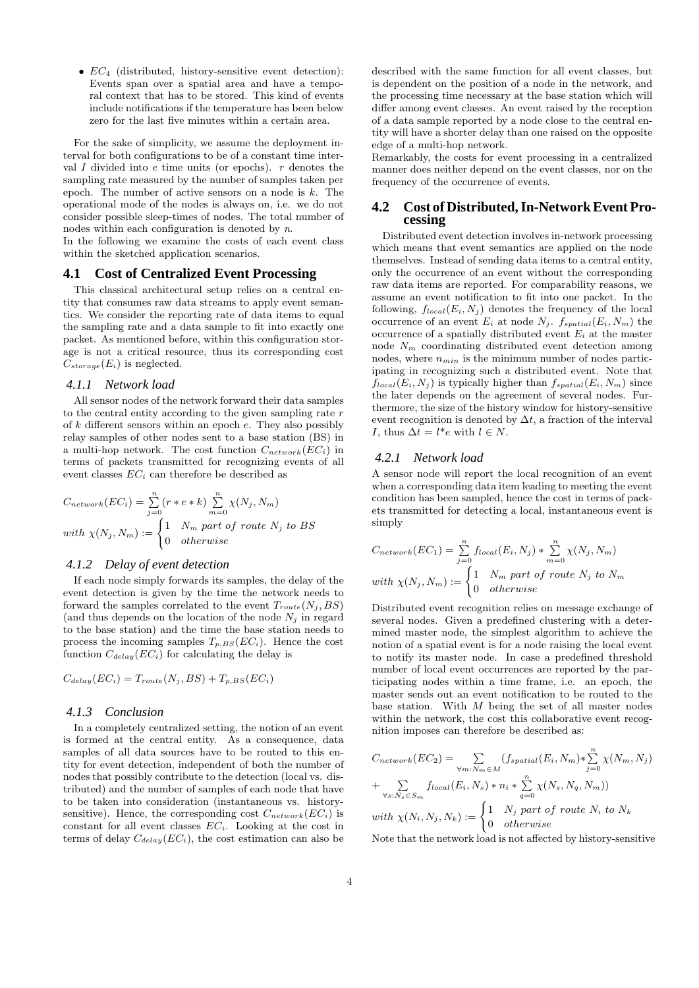•  $EC_4$  (distributed, history-sensitive event detection): Events span over a spatial area and have a temporal context that has to be stored. This kind of events include notifications if the temperature has been below zero for the last five minutes within a certain area.

For the sake of simplicity, we assume the deployment interval for both configurations to be of a constant time interval  $I$  divided into  $e$  time units (or epochs).  $r$  denotes the sampling rate measured by the number of samples taken per epoch. The number of active sensors on a node is  $k$ . The operational mode of the nodes is always on, i.e. we do not consider possible sleep-times of nodes. The total number of nodes within each configuration is denoted by n.

In the following we examine the costs of each event class within the sketched application scenarios.

## **4.1 Cost of Centralized Event Processing**

This classical architectural setup relies on a central entity that consumes raw data streams to apply event semantics. We consider the reporting rate of data items to equal the sampling rate and a data sample to fit into exactly one packet. As mentioned before, within this configuration storage is not a critical resource, thus its corresponding cost  $C_{storage}(E_i)$  is neglected.

#### *4.1.1 Network load*

All sensor nodes of the network forward their data samples to the central entity according to the given sampling rate  $r$ of  $k$  different sensors within an epoch  $e$ . They also possibly relay samples of other nodes sent to a base station (BS) in a multi-hop network. The cost function  $C_{network}(EC_i)$  in terms of packets transmitted for recognizing events of all event classes  $EC_i$  can therefore be described as

$$
C_{network}(EC_i) = \sum_{j=0}^{n} (r*e*k) \sum_{m=0}^{n} \chi(N_j, N_m)
$$
  
with  $\chi(N_j, N_m) := \begin{cases} 1 & N_m \text{ part of route } N_j \text{ to BS} \\ 0 & otherwise \end{cases}$ 

## *4.1.2 Delay of event detection*

If each node simply forwards its samples, the delay of the event detection is given by the time the network needs to forward the samples correlated to the event  $T_{route}(N_i, BS)$ (and thus depends on the location of the node  $N_i$  in regard to the base station) and the time the base station needs to process the incoming samples  $T_{p,BS}(EC_i)$ . Hence the cost function  $C_{delay}(EC_i)$  for calculating the delay is

$$
C_{delay}(EC_i) = T_{route}(N_j, BS) + T_{p, BS}(EC_i)
$$

## *4.1.3 Conclusion*

In a completely centralized setting, the notion of an event is formed at the central entity. As a consequence, data samples of all data sources have to be routed to this entity for event detection, independent of both the number of nodes that possibly contribute to the detection (local vs. distributed) and the number of samples of each node that have to be taken into consideration (instantaneous vs. historysensitive). Hence, the corresponding cost  $C_{network}(EC_i)$  is constant for all event classes  $EC_i$ . Looking at the cost in terms of delay  $C_{delay}(EC_i)$ , the cost estimation can also be

described with the same function for all event classes, but is dependent on the position of a node in the network, and the processing time necessary at the base station which will differ among event classes. An event raised by the reception of a data sample reported by a node close to the central entity will have a shorter delay than one raised on the opposite edge of a multi-hop network.

Remarkably, the costs for event processing in a centralized manner does neither depend on the event classes, nor on the frequency of the occurrence of events.

## **4.2 Cost of Distributed, In-Network Event Processing**

Distributed event detection involves in-network processing which means that event semantics are applied on the node themselves. Instead of sending data items to a central entity, only the occurrence of an event without the corresponding raw data items are reported. For comparability reasons, we assume an event notification to fit into one packet. In the following,  $f_{local}(E_i, N_j)$  denotes the frequency of the local occurrence of an event  $E_i$  at node  $N_i$ .  $f_{spatial}(E_i, N_m)$  the occurrence of a spatially distributed event  $E_i$  at the master node  $N_m$  coordinating distributed event detection among nodes, where  $n_{min}$  is the minimum number of nodes participating in recognizing such a distributed event. Note that  $f_{local}(E_i, N_j)$  is typically higher than  $f_{spatial}(E_i, N_m)$  since the later depends on the agreement of several nodes. Furthermore, the size of the history window for history-sensitive event recognition is denoted by  $\Delta t$ , a fraction of the interval *I*, thus  $\Delta t = l^*e$  with  $l \in N$ .

## *4.2.1 Network load*

A sensor node will report the local recognition of an event when a corresponding data item leading to meeting the event condition has been sampled, hence the cost in terms of packets transmitted for detecting a local, instantaneous event is simply

$$
C_{network}(EC_1) = \sum_{j=0}^{n} f_{local}(E_i, N_j) * \sum_{m=0}^{n} \chi(N_j, N_m)
$$
  
with  $\chi(N_j, N_m) := \begin{cases} 1 & N_m \text{ part of route } N_j \text{ to } N_m \\ 0 & otherwise \end{cases}$ 

Distributed event recognition relies on message exchange of several nodes. Given a predefined clustering with a determined master node, the simplest algorithm to achieve the notion of a spatial event is for a node raising the local event to notify its master node. In case a predefined threshold number of local event occurrences are reported by the participating nodes within a time frame, i.e. an epoch, the master sends out an event notification to be routed to the base station. With  $M$  being the set of all master nodes within the network, the cost this collaborative event recognition imposes can therefore be described as:

$$
C_{network}(EC_2) = \sum_{\forall m: N_m \in M} (f_{spatial}(E_i, N_m) * \sum_{j=0}^n \chi(N_m, N_j)
$$
  
+ 
$$
\sum_{\forall s: N_s \in S_m} f_{local}(E_i, N_s) * n_i * \sum_{q=0}^n \chi(N_s, N_q, N_m))
$$
  
with 
$$
\chi(N_i, N_j, N_k) := \begin{cases} 1 & N_j \text{ part of route } N_i \text{ to } N_k \\ 0 & otherwise \end{cases}
$$

Note that the network load is not affected by history-sensitive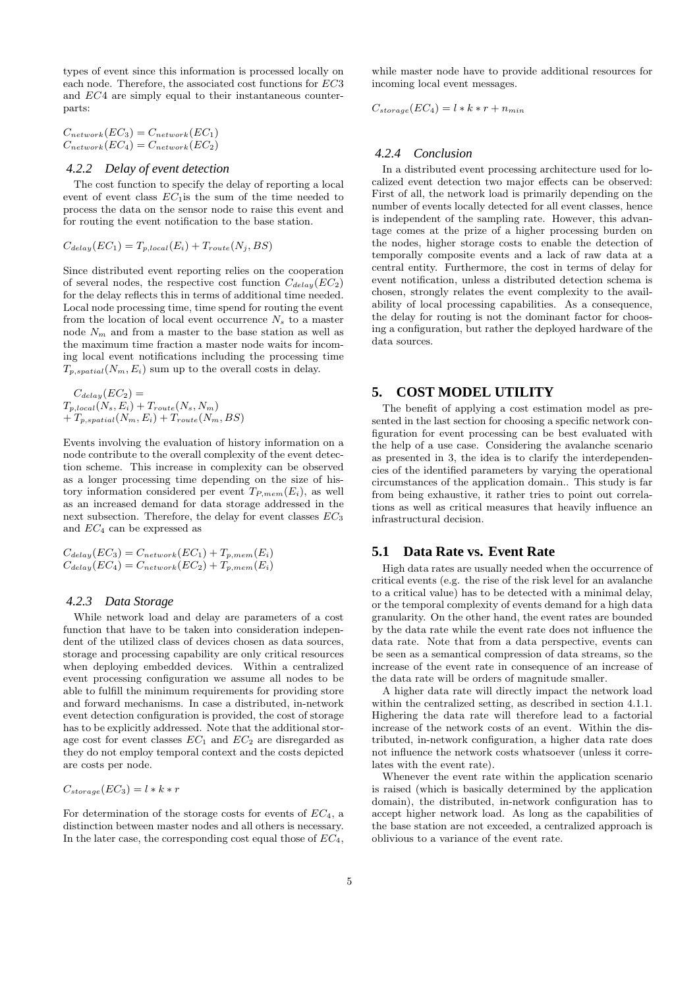types of event since this information is processed locally on each node. Therefore, the associated cost functions for EC3 and EC4 are simply equal to their instantaneous counterparts:

 $C_{network}(EC_3) = C_{network}(EC_1)$  $C_{network}(EC_4) = C_{network}(EC_2)$ 

### *4.2.2 Delay of event detection*

The cost function to specify the delay of reporting a local event of event class  $EC<sub>1</sub>$  is the sum of the time needed to process the data on the sensor node to raise this event and for routing the event notification to the base station.

$$
C_{delay}(EC_1) = T_{p,local}(E_i) + T_{route}(N_j, BS)
$$

Since distributed event reporting relies on the cooperation of several nodes, the respective cost function  $C_{delay}(EC_2)$ for the delay reflects this in terms of additional time needed. Local node processing time, time spend for routing the event from the location of local event occurrence  $N_s$  to a master node  $N_m$  and from a master to the base station as well as the maximum time fraction a master node waits for incoming local event notifications including the processing time  $T_{p,spatial}(N_m, E_i)$  sum up to the overall costs in delay.

 $C_{delay}(EC_2) =$  $T_{p,local}(N_s, E_i) + T_{route}(N_s, N_m)$  $+ T_{p,spatial}(N_m, E_i) + T_{route}(N_m, BS)$ 

Events involving the evaluation of history information on a node contribute to the overall complexity of the event detection scheme. This increase in complexity can be observed as a longer processing time depending on the size of history information considered per event  $T_{P,mem}(E_i)$ , as well as an increased demand for data storage addressed in the next subsection. Therefore, the delay for event classes  $EC_3$ and  $EC_4$  can be expressed as

$$
C_{delay}(EC_3) = C_{network}(EC_1) + T_{p,mem}(E_i)
$$
  

$$
C_{delay}(EC_4) = C_{network}(EC_2) + T_{p,mem}(E_i)
$$

#### *4.2.3 Data Storage*

While network load and delay are parameters of a cost function that have to be taken into consideration independent of the utilized class of devices chosen as data sources, storage and processing capability are only critical resources when deploying embedded devices. Within a centralized event processing configuration we assume all nodes to be able to fulfill the minimum requirements for providing store and forward mechanisms. In case a distributed, in-network event detection configuration is provided, the cost of storage has to be explicitly addressed. Note that the additional storage cost for event classes  $EC_1$  and  $EC_2$  are disregarded as they do not employ temporal context and the costs depicted are costs per node.

$$
C_{storage}(EC_3) = l * k * r
$$

For determination of the storage costs for events of  $EC<sub>4</sub>$ , a distinction between master nodes and all others is necessary. In the later case, the corresponding cost equal those of  $EC<sub>4</sub>$ ,

while master node have to provide additional resources for incoming local event messages.

$$
C_{storage}(EC_4) = l * k * r + n_{min}
$$

#### *4.2.4 Conclusion*

In a distributed event processing architecture used for localized event detection two major effects can be observed: First of all, the network load is primarily depending on the number of events locally detected for all event classes, hence is independent of the sampling rate. However, this advantage comes at the prize of a higher processing burden on the nodes, higher storage costs to enable the detection of temporally composite events and a lack of raw data at a central entity. Furthermore, the cost in terms of delay for event notification, unless a distributed detection schema is chosen, strongly relates the event complexity to the availability of local processing capabilities. As a consequence, the delay for routing is not the dominant factor for choosing a configuration, but rather the deployed hardware of the data sources.

# **5. COST MODEL UTILITY**

The benefit of applying a cost estimation model as presented in the last section for choosing a specific network configuration for event processing can be best evaluated with the help of a use case. Considering the avalanche scenario as presented in 3, the idea is to clarify the interdependencies of the identified parameters by varying the operational circumstances of the application domain.. This study is far from being exhaustive, it rather tries to point out correlations as well as critical measures that heavily influence an infrastructural decision.

## **5.1 Data Rate vs. Event Rate**

High data rates are usually needed when the occurrence of critical events (e.g. the rise of the risk level for an avalanche to a critical value) has to be detected with a minimal delay, or the temporal complexity of events demand for a high data granularity. On the other hand, the event rates are bounded by the data rate while the event rate does not influence the data rate. Note that from a data perspective, events can be seen as a semantical compression of data streams, so the increase of the event rate in consequence of an increase of the data rate will be orders of magnitude smaller.

A higher data rate will directly impact the network load within the centralized setting, as described in section 4.1.1. Highering the data rate will therefore lead to a factorial increase of the network costs of an event. Within the distributed, in-network configuration, a higher data rate does not influence the network costs whatsoever (unless it correlates with the event rate).

Whenever the event rate within the application scenario is raised (which is basically determined by the application domain), the distributed, in-network configuration has to accept higher network load. As long as the capabilities of the base station are not exceeded, a centralized approach is oblivious to a variance of the event rate.